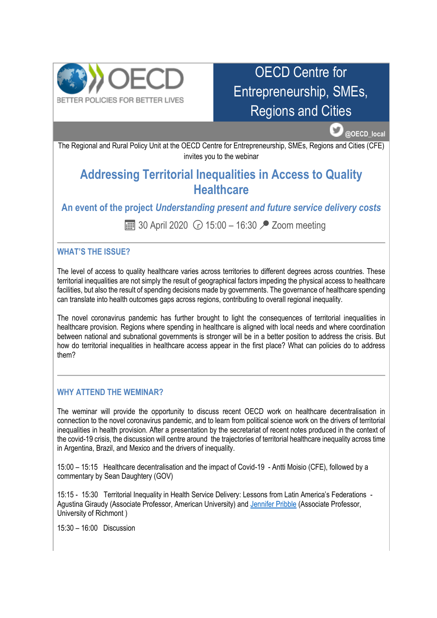

 **@OECD\_local**

The Regional and Rural Policy Unit at the OECD Centre for Entrepreneurship, SMEs, Regions and Cities (CFE) invites you to the webinar

## **Addressing Territorial Inequalities in Access to Quality Healthcare**

**An event of the project** *Understanding present and future service delivery costs*

**30 April 2020**  $\odot$  15:00 – 16:30  $\triangleright$  Zoom meeting

## **WHAT'S THE ISSUE?**

The level of access to quality healthcare varies across territories to different degrees across countries. These territorial inequalities are not simply the result of geographical factors impeding the physical access to healthcare facilities, but also the result of spending decisions made by governments. The governance of healthcare spending can translate into health outcomes gaps across regions, contributing to overall regional inequality.

The novel coronavirus pandemic has further brought to light the consequences of territorial inequalities in healthcare provision. Regions where spending in healthcare is aligned with local needs and where coordination between national and subnational governments is stronger will be in a better position to address the crisis. But how do territorial inequalities in healthcare access appear in the first place? What can policies do to address them?

## **WHY ATTEND THE WEMINAR?**

The weminar will provide the opportunity to discuss recent OECD work on healthcare decentralisation in connection to the novel coronavirus pandemic, and to learn from political science work on the drivers of territorial inequalities in health provision. After a presentation by the secretariat of recent notes produced in the context of the covid-19 crisis, the discussion will centre around the trajectories of territorial healthcare inequality across time in Argentina, Brazil, and Mexico and the drivers of inequality.

15:00 – 15:15 Healthcare decentralisation and the impact of Covid-19 - Antti Moisio (CFE), followed by a commentary by Sean Daughtery (GOV)

15:15 - 15:30 Territorial Inequality in Health Service Delivery: Lessons from Latin America's Federations - Agustina Giraudy (Associate Professor, American University) and [Jennifer Pribble](https://polisci.richmond.edu/faculty/jpribble/) (Associate Professor, University of Richmont )

15:30 – 16:00 Discussion